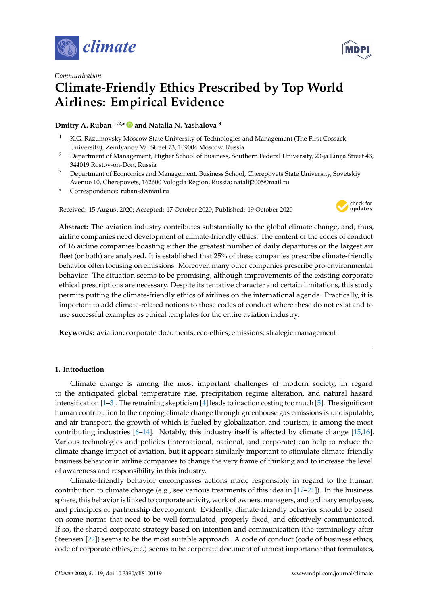



# **Climate-Friendly Ethics Prescribed by Top World Airlines: Empirical Evidence**

## **Dmitry A. Ruban 1,2,[\\*](https://orcid.org/0000-0003-2847-645X) and Natalia N. Yashalova <sup>3</sup>**

- <sup>1</sup> K.G. Razumovsky Moscow State University of Technologies and Management (The First Cossack University), Zemlyanoy Val Street 73, 109004 Moscow, Russia
- <sup>2</sup> Department of Management, Higher School of Business, Southern Federal University, 23-ja Linija Street 43, 344019 Rostov-on-Don, Russia
- <sup>3</sup> Department of Economics and Management, Business School, Cherepovets State University, Sovetskiy Avenue 10, Cherepovets, 162600 Vologda Region, Russia; natalij2005@mail.ru
- **\*** Correspondence: ruban-d@mail.ru

Received: 15 August 2020; Accepted: 17 October 2020; Published: 19 October 2020



**Abstract:** The aviation industry contributes substantially to the global climate change, and, thus, airline companies need development of climate-friendly ethics. The content of the codes of conduct of 16 airline companies boasting either the greatest number of daily departures or the largest air fleet (or both) are analyzed. It is established that 25% of these companies prescribe climate-friendly behavior often focusing on emissions. Moreover, many other companies prescribe pro-environmental behavior. The situation seems to be promising, although improvements of the existing corporate ethical prescriptions are necessary. Despite its tentative character and certain limitations, this study permits putting the climate-friendly ethics of airlines on the international agenda. Practically, it is important to add climate-related notions to those codes of conduct where these do not exist and to use successful examples as ethical templates for the entire aviation industry.

**Keywords:** aviation; corporate documents; eco-ethics; emissions; strategic management

### **1. Introduction**

Climate change is among the most important challenges of modern society, in regard to the anticipated global temperature rise, precipitation regime alteration, and natural hazard intensification [\[1–](#page-7-0)[3\]](#page-7-1). The remaining skepticism [\[4\]](#page-7-2) leads to inaction costing too much [\[5\]](#page-7-3). The significant human contribution to the ongoing climate change through greenhouse gas emissions is undisputable, and air transport, the growth of which is fueled by globalization and tourism, is among the most contributing industries [\[6](#page-7-4)[–14\]](#page-7-5). Notably, this industry itself is affected by climate change [\[15,](#page-7-6)[16\]](#page-7-7). Various technologies and policies (international, national, and corporate) can help to reduce the climate change impact of aviation, but it appears similarly important to stimulate climate-friendly business behavior in airline companies to change the very frame of thinking and to increase the level of awareness and responsibility in this industry.

Climate-friendly behavior encompasses actions made responsibly in regard to the human contribution to climate change (e.g., see various treatments of this idea in [\[17–](#page-7-8)[21\]](#page-8-0)). In the business sphere, this behavior is linked to corporate activity, work of owners, managers, and ordinary employees, and principles of partnership development. Evidently, climate-friendly behavior should be based on some norms that need to be well-formulated, properly fixed, and effectively communicated. If so, the shared corporate strategy based on intention and communication (the terminology after Steensen [\[22\]](#page-8-1)) seems to be the most suitable approach. A code of conduct (code of business ethics, code of corporate ethics, etc.) seems to be corporate document of utmost importance that formulates,

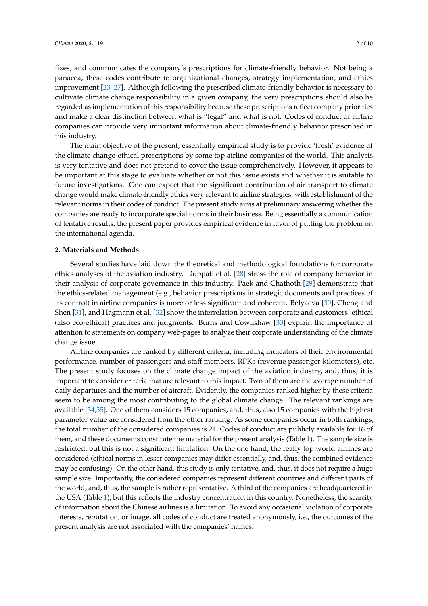fixes, and communicates the company's prescriptions for climate-friendly behavior. Not being a panacea, these codes contribute to organizational changes, strategy implementation, and ethics improvement [\[23–](#page-8-2)[27\]](#page-8-3). Although following the prescribed climate-friendly behavior is necessary to cultivate climate change responsibility in a given company, the very prescriptions should also be regarded as implementation of this responsibility because these prescriptions reflect company priorities and make a clear distinction between what is "legal" and what is not. Codes of conduct of airline companies can provide very important information about climate-friendly behavior prescribed in this industry.

The main objective of the present, essentially empirical study is to provide 'fresh' evidence of the climate change-ethical prescriptions by some top airline companies of the world. This analysis is very tentative and does not pretend to cover the issue comprehensively. However, it appears to be important at this stage to evaluate whether or not this issue exists and whether it is suitable to future investigations. One can expect that the significant contribution of air transport to climate change would make climate-friendly ethics very relevant to airline strategies, with establishment of the relevant norms in their codes of conduct. The present study aims at preliminary answering whether the companies are ready to incorporate special norms in their business. Being essentially a communication of tentative results, the present paper provides empirical evidence in favor of putting the problem on the international agenda.

#### **2. Materials and Methods**

Several studies have laid down the theoretical and methodological foundations for corporate ethics analyses of the aviation industry. Duppati et al. [\[28\]](#page-8-4) stress the role of company behavior in their analysis of corporate governance in this industry. Paek and Chathoth [\[29\]](#page-8-5) demonstrate that the ethics-related management (e.g., behavior prescriptions in strategic documents and practices of its control) in airline companies is more or less significant and coherent. Belyaeva [\[30\]](#page-8-6), Cheng and Shen [\[31\]](#page-8-7), and Hagmann et al. [\[32\]](#page-8-8) show the interrelation between corporate and customers' ethical (also eco-ethical) practices and judgments. Burns and Cowlishaw [\[33\]](#page-8-9) explain the importance of attention to statements on company web-pages to analyze their corporate understanding of the climate change issue.

Airline companies are ranked by different criteria, including indicators of their environmental performance, number of passengers and staff members, RPKs (revenue passenger kilometers), etc. The present study focuses on the climate change impact of the aviation industry, and, thus, it is important to consider criteria that are relevant to this impact. Two of them are the average number of daily departures and the number of aircraft. Evidently, the companies ranked higher by these criteria seem to be among the most contributing to the global climate change. The relevant rankings are available [\[34](#page-8-10)[,35\]](#page-8-11). One of them considers 15 companies, and, thus, also 15 companies with the highest parameter value are considered from the other ranking. As some companies occur in both rankings, the total number of the considered companies is 21. Codes of conduct are publicly available for 16 of them, and these documents constitute the material for the present analysis (Table [1\)](#page-2-0). The sample size is restricted, but this is not a significant limitation. On the one hand, the really top world airlines are considered (ethical norms in lesser companies may differ essentially, and, thus, the combined evidence may be confusing). On the other hand, this study is only tentative, and, thus, it does not require a huge sample size. Importantly, the considered companies represent different countries and different parts of the world, and, thus, the sample is rather representative. A third of the companies are headquartered in the USA (Table [1\)](#page-2-0), but this reflects the industry concentration in this country. Nonetheless, the scarcity of information about the Chinese airlines is a limitation. To avoid any occasional violation of corporate interests, reputation, or image, all codes of conduct are treated anonymously, i.e., the outcomes of the present analysis are not associated with the companies' names.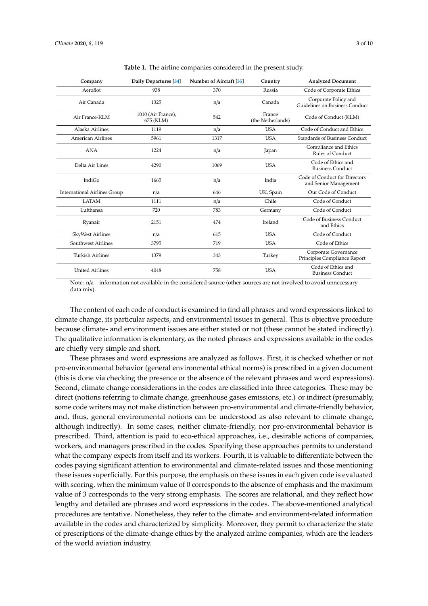<span id="page-2-0"></span>

| Company                             | Daily Departures [34]           | Number of Aircraft [35] | Country                     | <b>Analyzed Document</b>                               |
|-------------------------------------|---------------------------------|-------------------------|-----------------------------|--------------------------------------------------------|
| Aeroflot                            | 938                             | 370                     | Russia                      | Code of Corporate Ethics                               |
| Air Canada                          | 1325                            | n/a                     | Canada                      | Corporate Policy and<br>Guidelines on Business Conduct |
| Air France-KLM                      | 1010 (Air France),<br>675 (KLM) | 542                     | France<br>(the Netherlands) | Code of Conduct (KLM)                                  |
| Alaska Airlines                     | 1119                            | n/a                     | <b>USA</b>                  | Code of Conduct and Ethics                             |
| <b>American Airlines</b>            | 5961                            | 1317                    | <b>USA</b>                  | Standards of Business Conduct                          |
| <b>ANA</b>                          | 1224                            | n/a                     | Japan                       | Compliance and Ethics<br><b>Rules of Conduct</b>       |
| Delta Air Lines                     | 4290                            | 1069                    | <b>USA</b>                  | Code of Ethics and<br><b>Business Conduct</b>          |
| IndiGo                              | 1665                            | n/a                     | India                       | Code of Conduct for Directors<br>and Senior Management |
| <b>International Airlines Group</b> | n/a                             | 646                     | UK, Spain                   | Our Code of Conduct                                    |
| <b>LATAM</b>                        | 1111                            | n/a                     | Chile                       | Code of Conduct                                        |
| Lufthansa                           | 720                             | 783                     | Germany                     | Code of Conduct                                        |
| Ryanair                             | 2151                            | 474                     | Ireland                     | Code of Business Conduct<br>and Ethics                 |
| SkyWest Airlines                    | n/a                             | 615                     | <b>USA</b>                  | Code of Conduct                                        |
| Southwest Airlines                  | 3795                            | 719                     | <b>USA</b>                  | Code of Ethics                                         |
| <b>Turkish Airlines</b>             | 1379                            | 343                     | Turkey                      | Corporate Governance<br>Principles Compliance Report   |
| <b>United Airlines</b>              | 4048                            | 758                     | <b>USA</b>                  | Code of Ethics and<br><b>Business Conduct</b>          |

**Table 1.** The airline companies considered in the present study.

Note: n/a—information not available in the considered source (other sources are not involved to avoid unnecessary data mix).

The content of each code of conduct is examined to find all phrases and word expressions linked to climate change, its particular aspects, and environmental issues in general. This is objective procedure because climate- and environment issues are either stated or not (these cannot be stated indirectly). The qualitative information is elementary, as the noted phrases and expressions available in the codes are chiefly very simple and short.

These phrases and word expressions are analyzed as follows. First, it is checked whether or not pro-environmental behavior (general environmental ethical norms) is prescribed in a given document (this is done via checking the presence or the absence of the relevant phrases and word expressions). Second, climate change considerations in the codes are classified into three categories. These may be direct (notions referring to climate change, greenhouse gases emissions, etc.) or indirect (presumably, some code writers may not make distinction between pro-environmental and climate-friendly behavior, and, thus, general environmental notions can be understood as also relevant to climate change, although indirectly). In some cases, neither climate-friendly, nor pro-environmental behavior is prescribed. Third, attention is paid to eco-ethical approaches, i.e., desirable actions of companies, workers, and managers prescribed in the codes. Specifying these approaches permits to understand what the company expects from itself and its workers. Fourth, it is valuable to differentiate between the codes paying significant attention to environmental and climate-related issues and those mentioning these issues superficially. For this purpose, the emphasis on these issues in each given code is evaluated with scoring, when the minimum value of 0 corresponds to the absence of emphasis and the maximum value of 3 corresponds to the very strong emphasis. The scores are relational, and they reflect how lengthy and detailed are phrases and word expressions in the codes. The above-mentioned analytical procedures are tentative. Nonetheless, they refer to the climate- and environment-related information available in the codes and characterized by simplicity. Moreover, they permit to characterize the state of prescriptions of the climate-change ethics by the analyzed airline companies, which are the leaders of the world aviation industry.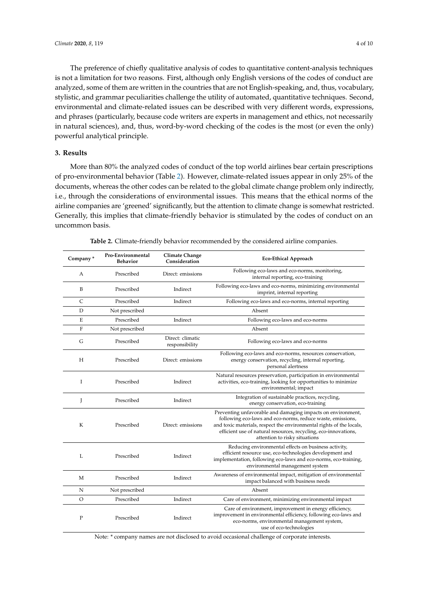The preference of chiefly qualitative analysis of codes to quantitative content-analysis techniques is not a limitation for two reasons. First, although only English versions of the codes of conduct are analyzed, some of them are written in the countries that are not English-speaking, and, thus, vocabulary, stylistic, and grammar peculiarities challenge the utility of automated, quantitative techniques. Second, environmental and climate-related issues can be described with very different words, expressions, and phrases (particularly, because code writers are experts in management and ethics, not necessarily in natural sciences), and, thus, word-by-word checking of the codes is the most (or even the only) powerful analytical principle.

## **3. Results**

More than 80% the analyzed codes of conduct of the top world airlines bear certain prescriptions of pro-environmental behavior (Table [2\)](#page-3-0). However, climate-related issues appear in only 25% of the documents, whereas the other codes can be related to the global climate change problem only indirectly, i.e., through the considerations of environmental issues. This means that the ethical norms of the airline companies are 'greened' significantly, but the attention to climate change is somewhat restricted. Generally, this implies that climate-friendly behavior is stimulated by the codes of conduct on an uncommon basis.

<span id="page-3-0"></span>

| Company* | Pro-Environmental<br>Behavior | Climate Change<br>Consideration    | <b>Eco-Ethical Approach</b>                                                                                                                                                                                                                                                                           |
|----------|-------------------------------|------------------------------------|-------------------------------------------------------------------------------------------------------------------------------------------------------------------------------------------------------------------------------------------------------------------------------------------------------|
| А        | Prescribed                    | Direct: emissions                  | Following eco-laws and eco-norms, monitoring,<br>internal reporting, eco-training                                                                                                                                                                                                                     |
| B        | Prescribed                    | Indirect                           | Following eco-laws and eco-norms, minimizing environmental<br>imprint, internal reporting                                                                                                                                                                                                             |
| C        | Prescribed                    | Indirect                           | Following eco-laws and eco-norms, internal reporting                                                                                                                                                                                                                                                  |
| D        | Not prescribed                |                                    | Absent                                                                                                                                                                                                                                                                                                |
| E        | Prescribed                    | Indirect                           | Following eco-laws and eco-norms                                                                                                                                                                                                                                                                      |
| F        | Not prescribed                |                                    | Absent                                                                                                                                                                                                                                                                                                |
| G        | Prescribed                    | Direct: climatic<br>responsibility | Following eco-laws and eco-norms                                                                                                                                                                                                                                                                      |
| H        | Prescribed                    | Direct: emissions                  | Following eco-laws and eco-norms, resources conservation,<br>energy conservation, recycling, internal reporting,<br>personal alertness                                                                                                                                                                |
| <b>I</b> | Prescribed                    | Indirect                           | Natural resources preservation, participation in environmental<br>activities, eco-training, looking for opportunities to minimize<br>environmental; impact                                                                                                                                            |
| J        | Prescribed                    | Indirect                           | Integration of sustainable practices, recycling,<br>energy conservation, eco-training                                                                                                                                                                                                                 |
| K        | Prescribed                    | Direct: emissions                  | Preventing unfavorable and damaging impacts on environment,<br>following eco-laws and eco-norms, reduce waste, emissions,<br>and toxic materials, respect the environmental rights of the locals,<br>efficient use of natural resources, recycling, eco-innovations,<br>attention to risky situations |
| L        | Prescribed                    | Indirect                           | Reducing environmental effects on business activity,<br>efficient resource use, eco-technologies development and<br>implementation, following eco-laws and eco-norms, eco-training,<br>environmental management system                                                                                |
| M        | Prescribed                    | Indirect                           | Awareness of environmental impact, mitigation of environmental<br>impact balanced with business needs                                                                                                                                                                                                 |
| N        | Not prescribed                |                                    | Absent                                                                                                                                                                                                                                                                                                |
| O        | Prescribed                    | Indirect                           | Care of environment, minimizing environmental impact                                                                                                                                                                                                                                                  |
| P        | Prescribed                    | Indirect                           | Care of environment, improvement in energy efficiency,<br>improvement in environmental efficiency, following eco-laws and<br>eco-norms, environmental management system,<br>use of eco-technologies                                                                                                   |

| <b>Table 2.</b> Climate-friendly behavior recommended by the considered airline companies. |  |  |  |
|--------------------------------------------------------------------------------------------|--|--|--|
|--------------------------------------------------------------------------------------------|--|--|--|

Note: \* company names are not disclosed to avoid occasional challenge of corporate interests.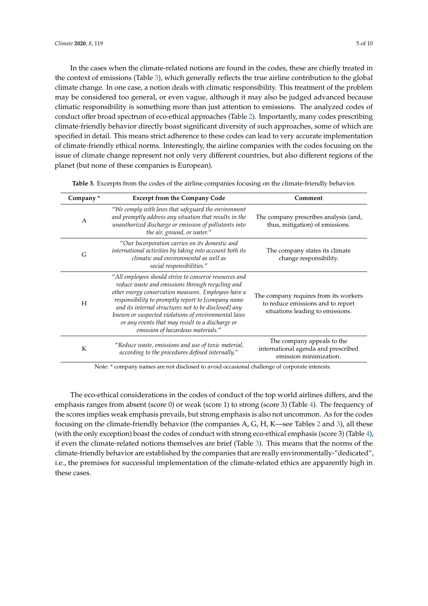In the cases when the climate-related notions are found in the codes, these are chiefly treated in the context of emissions (Table [3\)](#page-4-0), which generally reflects the true airline contribution to the global climate change. In one case, a notion deals with climatic responsibility. This treatment of the problem may be considered too general, or even vague, although it may also be judged advanced because climatic responsibility is something more than just attention to emissions. The analyzed codes of conduct offer broad spectrum of eco-ethical approaches (Table [2\)](#page-3-0). Importantly, many codes prescribing climate-friendly behavior directly boast significant diversity of such approaches, some of which are specified in detail. This means strict adherence to these codes can lead to very accurate implementation of climate-friendly ethical norms. Interestingly, the airline companies with the codes focusing on the issue of climate change represent not only very different countries, but also different regions of the planet (but none of these companies is European).

<span id="page-4-0"></span>

| Company <sup>*</sup> | <b>Excerpt from the Company Code</b>                                                                                                                                                                                                                                                                                                                                                                                            | Comment                                                                                                        |
|----------------------|---------------------------------------------------------------------------------------------------------------------------------------------------------------------------------------------------------------------------------------------------------------------------------------------------------------------------------------------------------------------------------------------------------------------------------|----------------------------------------------------------------------------------------------------------------|
| $\mathsf{A}$         | "We comply with laws that safeguard the environment<br>and promptly address any situation that results in the<br>unauthorized discharge or emission of pollutants into<br>the air, ground, or water."                                                                                                                                                                                                                           | The company prescribes analysis (and,<br>thus, mitigation) of emissions.                                       |
| G                    | "Our Incorporation carries on its domestic and<br>international activities by taking into account both its<br>climatic and environmental as well as<br>social responsibilities."                                                                                                                                                                                                                                                | The company states its climate<br>change responsibility.                                                       |
| H                    | "All employees should strive to conserve resources and<br>reduce waste and emissions through recycling and<br>other energy conservation measures. Employees have a<br>responsibility to promptly report to [company name<br>and its internal structures not to be disclosed] any<br>known or suspected violations of environmental laws<br>or any events that may result in a discharge or<br>emission of hazardous materials." | The company requires from its workers<br>to reduce emissions and to report<br>situations leading to emissions. |
| K                    | "Reduce waste, emissions and use of toxic material,<br>according to the procedures defined internally."                                                                                                                                                                                                                                                                                                                         | The company appeals to the<br>international agenda and prescribed<br>emission minimization.                    |

**Table 3.** Excerpts from the codes of the airline companies focusing on the climate-friendly behavior.

Note: \* company names are not disclosed to avoid occasional challenge of corporate interests.

The eco-ethical considerations in the codes of conduct of the top world airlines differs, and the emphasis ranges from absent (score 0) or weak (score 1) to strong (score 3) (Table [4\)](#page-5-0). The frequency of the scores implies weak emphasis prevails, but strong emphasis is also not uncommon. As for the codes focusing on the climate-friendly behavior (the companies A, G, H, K—see Tables [2](#page-3-0) and [3\)](#page-4-0), all these (with the only exception) boast the codes of conduct with strong eco-ethical emphasis (score 3) (Table [4\)](#page-5-0), if even the climate-related notions themselves are brief (Table [3\)](#page-4-0). This means that the norms of the climate-friendly behavior are established by the companies that are really environmentally-"dedicated", i.e., the premises for successful implementation of the climate-related ethics are apparently high in these cases.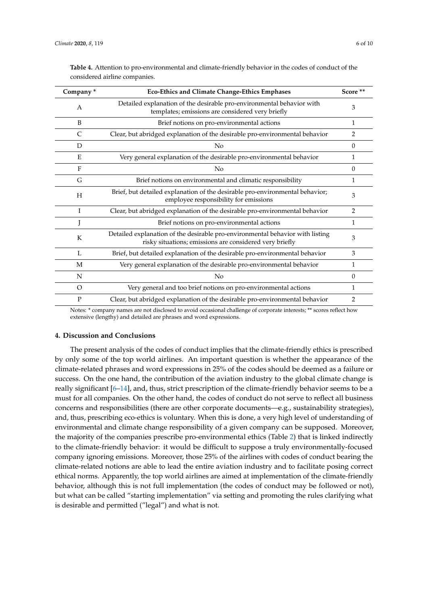| Company*      | Eco-Ethics and Climate Change-Ethics Emphases                                                                                            | Score **       |
|---------------|------------------------------------------------------------------------------------------------------------------------------------------|----------------|
| $\mathsf{A}$  | Detailed explanation of the desirable pro-environmental behavior with<br>templates; emissions are considered very briefly                | 3              |
| B             | Brief notions on pro-environmental actions                                                                                               | 1              |
| $\mathcal{C}$ | Clear, but abridged explanation of the desirable pro-environmental behavior                                                              | $\overline{2}$ |
| D             | No                                                                                                                                       | $\Omega$       |
| E             | Very general explanation of the desirable pro-environmental behavior                                                                     | 1              |
| F             | No                                                                                                                                       | $\Omega$       |
| G             | Brief notions on environmental and climatic responsibility                                                                               | 1              |
| H             | Brief, but detailed explanation of the desirable pro-environmental behavior;<br>employee responsibility for emissions                    | 3              |
| T             | Clear, but abridged explanation of the desirable pro-environmental behavior                                                              | $\overline{2}$ |
|               | Brief notions on pro-environmental actions                                                                                               | 1              |
| K             | Detailed explanation of the desirable pro-environmental behavior with listing<br>risky situations; emissions are considered very briefly | 3              |
| T.            | Brief, but detailed explanation of the desirable pro-environmental behavior                                                              | 3              |
| M             | Very general explanation of the desirable pro-environmental behavior                                                                     | 1              |
| N             | No                                                                                                                                       | $\Omega$       |
| $\Omega$      | Very general and too brief notions on pro-environmental actions                                                                          | 1              |
| $\mathbf{P}$  | Clear, but abridged explanation of the desirable pro-environmental behavior                                                              | $\overline{2}$ |

<span id="page-5-0"></span>**Table 4.** Attention to pro-environmental and climate-friendly behavior in the codes of conduct of the considered airline companies.

Notes: \* company names are not disclosed to avoid occasional challenge of corporate interests; \*\* scores reflect how extensive (lengthy) and detailed are phrases and word expressions.

#### **4. Discussion and Conclusions**

The present analysis of the codes of conduct implies that the climate-friendly ethics is prescribed by only some of the top world airlines. An important question is whether the appearance of the climate-related phrases and word expressions in 25% of the codes should be deemed as a failure or success. On the one hand, the contribution of the aviation industry to the global climate change is really significant [\[6](#page-7-4)[–14\]](#page-7-5), and, thus, strict prescription of the climate-friendly behavior seems to be a must for all companies. On the other hand, the codes of conduct do not serve to reflect all business concerns and responsibilities (there are other corporate documents—e.g., sustainability strategies), and, thus, prescribing eco-ethics is voluntary. When this is done, a very high level of understanding of environmental and climate change responsibility of a given company can be supposed. Moreover, the majority of the companies prescribe pro-environmental ethics (Table [2\)](#page-3-0) that is linked indirectly to the climate-friendly behavior: it would be difficult to suppose a truly environmentally-focused company ignoring emissions. Moreover, those 25% of the airlines with codes of conduct bearing the climate-related notions are able to lead the entire aviation industry and to facilitate posing correct ethical norms. Apparently, the top world airlines are aimed at implementation of the climate-friendly behavior, although this is not full implementation (the codes of conduct may be followed or not), but what can be called "starting implementation" via setting and promoting the rules clarifying what is desirable and permitted ("legal") and what is not.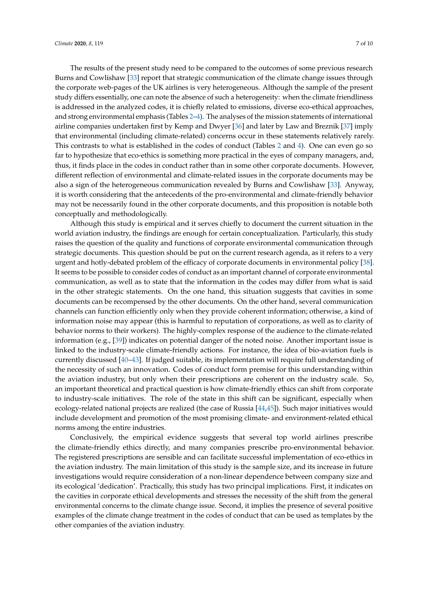The results of the present study need to be compared to the outcomes of some previous research Burns and Cowlishaw [\[33\]](#page-8-9) report that strategic communication of the climate change issues through the corporate web-pages of the UK airlines is very heterogeneous. Although the sample of the present study differs essentially, one can note the absence of such a heterogeneity: when the climate friendliness is addressed in the analyzed codes, it is chiefly related to emissions, diverse eco-ethical approaches, and strong environmental emphasis (Tables [2–](#page-3-0)[4\)](#page-5-0). The analyses of the mission statements of international airline companies undertaken first by Kemp and Dwyer [\[36\]](#page-8-12) and later by Law and Breznik [\[37\]](#page-8-13) imply that environmental (including climate-related) concerns occur in these statements relatively rarely. This contrasts to what is established in the codes of conduct (Tables [2](#page-3-0) and [4\)](#page-5-0). One can even go so far to hypothesize that eco-ethics is something more practical in the eyes of company managers, and, thus, it finds place in the codes in conduct rather than in some other corporate documents. However, different reflection of environmental and climate-related issues in the corporate documents may be also a sign of the heterogeneous communication revealed by Burns and Cowlishaw [\[33\]](#page-8-9). Anyway, it is worth considering that the antecedents of the pro-environmental and climate-friendly behavior may not be necessarily found in the other corporate documents, and this proposition is notable both conceptually and methodologically.

Although this study is empirical and it serves chiefly to document the current situation in the world aviation industry, the findings are enough for certain conceptualization. Particularly, this study raises the question of the quality and functions of corporate environmental communication through strategic documents. This question should be put on the current research agenda, as it refers to a very urgent and hotly-debated problem of the efficacy of corporate documents in environmental policy [\[38\]](#page-8-14). It seems to be possible to consider codes of conduct as an important channel of corporate environmental communication, as well as to state that the information in the codes may differ from what is said in the other strategic statements. On the one hand, this situation suggests that cavities in some documents can be recompensed by the other documents. On the other hand, several communication channels can function efficiently only when they provide coherent information; otherwise, a kind of information noise may appear (this is harmful to reputation of corporations, as well as to clarity of behavior norms to their workers). The highly-complex response of the audience to the climate-related information (e.g., [\[39\]](#page-8-15)) indicates on potential danger of the noted noise. Another important issue is linked to the industry-scale climate-friendly actions. For instance, the idea of bio-aviation fuels is currently discussed [\[40](#page-8-16)[–43\]](#page-8-17). If judged suitable, its implementation will require full understanding of the necessity of such an innovation. Codes of conduct form premise for this understanding within the aviation industry, but only when their prescriptions are coherent on the industry scale. So, an important theoretical and practical question is how climate-friendly ethics can shift from corporate to industry-scale initiatives. The role of the state in this shift can be significant, especially when ecology-related national projects are realized (the case of Russia [\[44,](#page-9-0)[45\]](#page-9-1)). Such major initiatives would include development and promotion of the most promising climate- and environment-related ethical norms among the entire industries.

Conclusively, the empirical evidence suggests that several top world airlines prescribe the climate-friendly ethics directly, and many companies prescribe pro-environmental behavior. The registered prescriptions are sensible and can facilitate successful implementation of eco-ethics in the aviation industry. The main limitation of this study is the sample size, and its increase in future investigations would require consideration of a non-linear dependence between company size and its ecological 'dedication'. Practically, this study has two principal implications. First, it indicates on the cavities in corporate ethical developments and stresses the necessity of the shift from the general environmental concerns to the climate change issue. Second, it implies the presence of several positive examples of the climate change treatment in the codes of conduct that can be used as templates by the other companies of the aviation industry.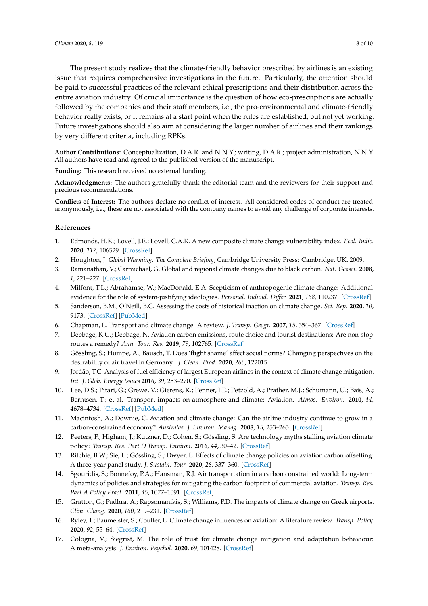Future investigations should also aim at considering the larger number of airlines and their rankings by very different criteria, including RPKs.

**Author Contributions:** Conceptualization, D.A.R. and N.N.Y.; writing, D.A.R.; project administration, N.N.Y. All authors have read and agreed to the published version of the manuscript.

**Funding:** This research received no external funding.

**Acknowledgments:** The authors gratefully thank the editorial team and the reviewers for their support and precious recommendations.

**Conflicts of Interest:** The authors declare no conflict of interest. All considered codes of conduct are treated anonymously, i.e., these are not associated with the company names to avoid any challenge of corporate interests.

## **References**

- <span id="page-7-0"></span>1. Edmonds, H.K.; Lovell, J.E.; Lovell, C.A.K. A new composite climate change vulnerability index. *Ecol. Indic.* **2020**, *117*, 106529. [\[CrossRef\]](http://dx.doi.org/10.1016/j.ecolind.2020.106529)
- 2. Houghton, J. *Global Warming. The Complete Briefing*; Cambridge University Press: Cambridge, UK, 2009.
- <span id="page-7-1"></span>3. Ramanathan, V.; Carmichael, G. Global and regional climate changes due to black carbon. *Nat. Geosci.* **2008**, *1*, 221–227. [\[CrossRef\]](http://dx.doi.org/10.1038/ngeo156)
- <span id="page-7-2"></span>4. Milfont, T.L.; Abrahamse, W.; MacDonald, E.A. Scepticism of anthropogenic climate change: Additional evidence for the role of system-justifying ideologies. *Personal. Individ. Di*ff*er.* **2021**, *168*, 110237. [\[CrossRef\]](http://dx.doi.org/10.1016/j.paid.2020.110237)
- <span id="page-7-3"></span>5. Sanderson, B.M.; O'Neill, B.C. Assessing the costs of historical inaction on climate change. *Sci. Rep.* **2020**, *10*, 9173. [\[CrossRef\]](http://dx.doi.org/10.1038/s41598-020-66275-4) [\[PubMed\]](http://www.ncbi.nlm.nih.gov/pubmed/32514079)
- <span id="page-7-4"></span>6. Chapman, L. Transport and climate change: A review. *J. Transp. Geogr.* **2007**, *15*, 354–367. [\[CrossRef\]](http://dx.doi.org/10.1016/j.jtrangeo.2006.11.008)
- 7. Debbage, K.G.; Debbage, N. Aviation carbon emissions, route choice and tourist destinations: Are non-stop routes a remedy? *Ann. Tour. Res.* **2019**, *79*, 102765. [\[CrossRef\]](http://dx.doi.org/10.1016/j.annals.2019.102765)
- 8. Gössling, S.; Humpe, A.; Bausch, T. Does 'flight shame' affect social norms? Changing perspectives on the desirability of air travel in Germany. *J. Clean. Prod.* **2020**, *266*, 122015.
- 9. Jordão, T.C. Analysis of fuel efficiency of largest European airlines in the context of climate change mitigation. *Int. J. Glob. Energy Issues* **2016**, *39*, 253–270. [\[CrossRef\]](http://dx.doi.org/10.1504/IJGEI.2016.076348)
- 10. Lee, D.S.; Pitari, G.; Grewe, V.; Gierens, K.; Penner, J.E.; Petzold, A.; Prather, M.J.; Schumann, U.; Bais, A.; Berntsen, T.; et al. Transport impacts on atmosphere and climate: Aviation. *Atmos. Environ.* **2010**, *44*, 4678–4734. [\[CrossRef\]](http://dx.doi.org/10.1016/j.atmosenv.2009.06.005) [\[PubMed\]](http://www.ncbi.nlm.nih.gov/pubmed/32288556)
- 11. Macintosh, A.; Downie, C. Aviation and climate change: Can the airline industry continue to grow in a carbon-constrained economy? *Australas. J. Environ. Manag.* **2008**, *15*, 253–265. [\[CrossRef\]](http://dx.doi.org/10.1080/14486563.2008.9725209)
- 12. Peeters, P.; Higham, J.; Kutzner, D.; Cohen, S.; Gössling, S. Are technology myths stalling aviation climate policy? *Transp. Res. Part D Transp. Environ.* **2016**, *44*, 30–42. [\[CrossRef\]](http://dx.doi.org/10.1016/j.trd.2016.02.004)
- 13. Ritchie, B.W.; Sie, L.; Gössling, S.; Dwyer, L. Effects of climate change policies on aviation carbon offsetting: A three-year panel study. *J. Sustain. Tour.* **2020**, *28*, 337–360. [\[CrossRef\]](http://dx.doi.org/10.1080/09669582.2019.1624762)
- <span id="page-7-5"></span>14. Sgouridis, S.; Bonnefoy, P.A.; Hansman, R.J. Air transportation in a carbon constrained world: Long-term dynamics of policies and strategies for mitigating the carbon footprint of commercial aviation. *Transp. Res. Part A Policy Pract.* **2011**, *45*, 1077–1091. [\[CrossRef\]](http://dx.doi.org/10.1016/j.tra.2010.03.019)
- <span id="page-7-6"></span>15. Gratton, G.; Padhra, A.; Rapsomanikis, S.; Williams, P.D. The impacts of climate change on Greek airports. *Clim. Chang.* **2020**, *160*, 219–231. [\[CrossRef\]](http://dx.doi.org/10.1007/s10584-019-02634-z)
- <span id="page-7-7"></span>16. Ryley, T.; Baumeister, S.; Coulter, L. Climate change influences on aviation: A literature review. *Transp. Policy* **2020**, *92*, 55–64. [\[CrossRef\]](http://dx.doi.org/10.1016/j.tranpol.2020.04.010)
- <span id="page-7-8"></span>17. Cologna, V.; Siegrist, M. The role of trust for climate change mitigation and adaptation behaviour: A meta-analysis. *J. Environ. Psychol.* **2020**, *69*, 101428. [\[CrossRef\]](http://dx.doi.org/10.1016/j.jenvp.2020.101428)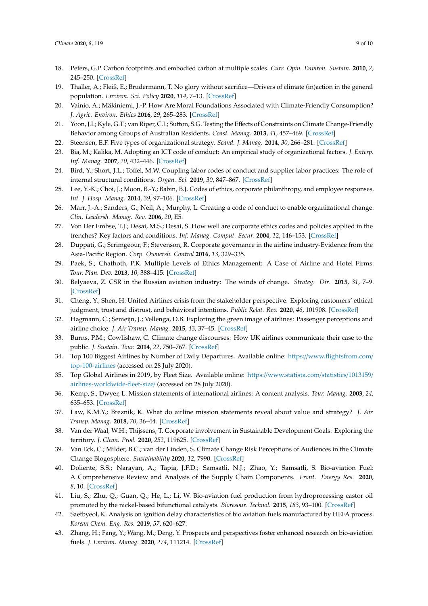- 18. Peters, G.P. Carbon footprints and embodied carbon at multiple scales. *Curr. Opin. Environ. Sustain.* **2010**, *2*, 245–250. [\[CrossRef\]](http://dx.doi.org/10.1016/j.cosust.2010.05.004)
- 19. Thaller, A.; Fleiß, E.; Brudermann, T. No glory without sacrifice—Drivers of climate (in)action in the general population. *Environ. Sci. Policy* **2020**, *114*, 7–13. [\[CrossRef\]](http://dx.doi.org/10.1016/j.envsci.2020.07.014)
- 20. Vainio, A.; Mäkiniemi, J.-P. How Are Moral Foundations Associated with Climate-Friendly Consumption? *J. Agric. Environ. Ethics* **2016**, *29*, 265–283. [\[CrossRef\]](http://dx.doi.org/10.1007/s10806-016-9601-3)
- <span id="page-8-0"></span>21. Yoon, J.I.; Kyle, G.T.; van Riper, C.J.; Sutton, S.G. Testing the Effects of Constraints on Climate Change-Friendly Behavior among Groups of Australian Residents. *Coast. Manag.* **2013**, *41*, 457–469. [\[CrossRef\]](http://dx.doi.org/10.1080/08920753.2013.841354)
- <span id="page-8-2"></span><span id="page-8-1"></span>22. Steensen, E.F. Five types of organizational strategy. *Scand. J. Manag.* **2014**, *30*, 266–281. [\[CrossRef\]](http://dx.doi.org/10.1016/j.scaman.2013.10.003)
- 23. Bia, M.; Kalika, M. Adopting an ICT code of conduct: An empirical study of organizational factors. *J. Enterp. Inf. Manag.* **2007**, *20*, 432–446. [\[CrossRef\]](http://dx.doi.org/10.1108/17410390710772704)
- 24. Bird, Y.; Short, J.L.; Toffel, M.W. Coupling labor codes of conduct and supplier labor practices: The role of internal structural conditions. *Organ. Sci.* **2019**, *30*, 847–867. [\[CrossRef\]](http://dx.doi.org/10.1287/orsc.2018.1261)
- 25. Lee, Y.-K.; Choi, J.; Moon, B.-Y.; Babin, B.J. Codes of ethics, corporate philanthropy, and employee responses. *Int. J. Hosp. Manag.* **2014**, *39*, 97–106. [\[CrossRef\]](http://dx.doi.org/10.1016/j.ijhm.2014.02.005)
- 26. Marr, J.-A.; Sanders, G.; Neil, A.; Murphy, L. Creating a code of conduct to enable organizational change. *Clin. Leadersh. Manag. Rev.* **2006**, *20*, E5.
- <span id="page-8-3"></span>27. Von Der Embse, T.J.; Desai, M.S.; Desai, S. How well are corporate ethics codes and policies applied in the trenches? Key factors and conditions. *Inf. Manag. Comput. Secur.* **2004**, *12*, 146–153. [\[CrossRef\]](http://dx.doi.org/10.1108/09685220410530780)
- <span id="page-8-4"></span>28. Duppati, G.; Scrimgeour, F.; Stevenson, R. Corporate governance in the airline industry-Evidence from the Asia-Pacific Region. *Corp. Ownersh. Control* **2016**, *13*, 329–335.
- <span id="page-8-5"></span>29. Paek, S.; Chathoth, P.K. Multiple Levels of Ethics Management: A Case of Airline and Hotel Firms. *Tour. Plan. Dev.* **2013**, *10*, 388–415. [\[CrossRef\]](http://dx.doi.org/10.1080/21568316.2013.804430)
- <span id="page-8-6"></span>30. Belyaeva, Z. CSR in the Russian aviation industry: The winds of change. *Strateg. Dir.* **2015**, *31*, 7–9. [\[CrossRef\]](http://dx.doi.org/10.1108/SD-06-2015-0094)
- <span id="page-8-7"></span>31. Cheng, Y.; Shen, H. United Airlines crisis from the stakeholder perspective: Exploring customers' ethical judgment, trust and distrust, and behavioral intentions. *Public Relat. Rev.* **2020**, *46*, 101908. [\[CrossRef\]](http://dx.doi.org/10.1016/j.pubrev.2020.101908)
- <span id="page-8-8"></span>32. Hagmann, C.; Semeijn, J.; Vellenga, D.B. Exploring the green image of airlines: Passenger perceptions and airline choice. *J. Air Transp. Manag.* **2015**, *43*, 37–45. [\[CrossRef\]](http://dx.doi.org/10.1016/j.jairtraman.2015.01.003)
- <span id="page-8-9"></span>33. Burns, P.M.; Cowlishaw, C. Climate change discourses: How UK airlines communicate their case to the public. *J. Sustain. Tour.* **2014**, *22*, 750–767. [\[CrossRef\]](http://dx.doi.org/10.1080/09669582.2014.884101)
- <span id="page-8-10"></span>34. Top 100 Biggest Airlines by Number of Daily Departures. Available online: https://[www.flightsfrom.com](https://www.flightsfrom.com/top-100-airlines)/ [top-100-airlines](https://www.flightsfrom.com/top-100-airlines) (accessed on 28 July 2020).
- <span id="page-8-11"></span>35. Top Global Airlines in 2019, by Fleet Size. Available online: https://[www.statista.com](https://www.statista.com/statistics/1013159/airlines-worldwide-fleet-size/)/statistics/1013159/ [airlines-worldwide-fleet-size](https://www.statista.com/statistics/1013159/airlines-worldwide-fleet-size/)/ (accessed on 28 July 2020).
- <span id="page-8-12"></span>36. Kemp, S.; Dwyer, L. Mission statements of international airlines: A content analysis. *Tour. Manag.* **2003**, *24*, 635–653. [\[CrossRef\]](http://dx.doi.org/10.1016/S0261-5177(03)00049-9)
- <span id="page-8-13"></span>37. Law, K.M.Y.; Breznik, K. What do airline mission statements reveal about value and strategy? *J. Air Transp. Manag.* **2018**, *70*, 36–44. [\[CrossRef\]](http://dx.doi.org/10.1016/j.jairtraman.2018.04.015)
- <span id="page-8-14"></span>38. Van der Waal, W.H.; Thijssens, T. Corporate involvement in Sustainable Development Goals: Exploring the territory. *J. Clean. Prod.* **2020**, *252*, 119625. [\[CrossRef\]](http://dx.doi.org/10.1016/j.jclepro.2019.119625)
- <span id="page-8-15"></span>39. Van Eck, C.; Milder, B.C.; van der Linden, S. Climate Change Risk Perceptions of Audiences in the Climate Change Blogosphere. *Sustainability* **2020**, *12*, 7990. [\[CrossRef\]](http://dx.doi.org/10.3390/su12197990)
- <span id="page-8-16"></span>40. Doliente, S.S.; Narayan, A.; Tapia, J.F.D.; Samsatli, N.J.; Zhao, Y.; Samsatli, S. Bio-aviation Fuel: A Comprehensive Review and Analysis of the Supply Chain Components. *Front. Energy Res.* **2020**, *8*, 10. [\[CrossRef\]](http://dx.doi.org/10.3389/fenrg.2020.00110)
- 41. Liu, S.; Zhu, Q.; Guan, Q.; He, L.; Li, W. Bio-aviation fuel production from hydroprocessing castor oil promoted by the nickel-based bifunctional catalysts. *Bioresour. Technol.* **2015**, *183*, 93–100. [\[CrossRef\]](http://dx.doi.org/10.1016/j.biortech.2015.02.056)
- 42. Saetbyeol, K. Analysis on ignition delay characteristics of bio aviation fuels manufactured by HEFA process. *Korean Chem. Eng. Res.* **2019**, *57*, 620–627.
- <span id="page-8-17"></span>43. Zhang, H.; Fang, Y.; Wang, M.; Deng, Y. Prospects and perspectives foster enhanced research on bio-aviation fuels. *J. Environ. Manag.* **2020**, *274*, 111214. [\[CrossRef\]](http://dx.doi.org/10.1016/j.jenvman.2020.111214)